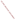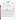

| TECHNOLOGY TYPE: PORTABLE EMISSION ANALYZER                      |                                                                            |                       |                              |
|------------------------------------------------------------------|----------------------------------------------------------------------------|-----------------------|------------------------------|
| <b>APPLICATION:</b>                                              | DETERMINING NITROGEN OXIDES EMISSIONS                                      |                       |                              |
| <b>TECHNOLOGY NAME: Combucheck Model 8750 Single Gas Monitor</b> |                                                                            |                       |                              |
| <b>COMPANY:</b>                                                  | TSI, Inc.                                                                  |                       |                              |
| <b>ADDRESS:</b>                                                  | 500 Cardigan Road<br>PO Box 64394<br><b>St. Paul, Minnesota 55164-0394</b> | <b>PHONE:</b><br>FAX: | 651-483-0900<br>651-490-2748 |
| <b>WEB SITE:</b><br>$E\text{-}MAIL:$                             | http://www.tsi.com<br>info@tsi.com                                         |                       |                              |

The U.S. Environmental Protection Agency (EPA) has created the Environmental Technology Verification (ETV) Program to facilitate the deployment of innovative or improved environmental technologies through performance verification and dissemination of information. The goal of the ETV Program is to further environmental protection by substantially accelerating the acceptance and use of improved and cost-effective technologies. ETV seeks to achieve this goal by providing high quality, peer reviewed data on technology performance to those involved in the design, distribution, financing, permitting, purchase, and use of environmental technologies.

ETV works in partnership with recognized standards and testing organizations; stakeholder groups which consist of buyers, vendor organizations, and permitters; and with the full participation of individual technology developers. The program evaluates the performance of innovative technologies by developing test plans that are responsive to the needs of stakeholders, conducting field or laboratory tests (as appropriate), collecting and analyzing data, and preparing peer reviewed reports. All evaluations are conducted in accordance with rigorous quality assurance protocols to ensure that data of known and adequate quality are generated and that the results are defensible.

The Advanced Monitoring Systems (AMS) program, one of 12 technology areas under ETV, is operated by Battelle in cooperation with EPA's National Exposure Research Laboratory. AMS has recently evaluated the performance of portable nitrogen oxides monitors used to determine emissions from combustion sources. This verification statement provides a summary of the test results for the TSI COMBUCHECK Model 8750 Single Gas Monitor.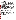## **VERIFICATION TEST DESCRIPTION**

The verification test described in this report was one of a series of tests conducted in early 1999 on commercial portable nitrogen oxides analyzers at Battelle's facilities in Columbus, Ohio. Verification testing of the analyzers involved  $(1)$  a series of laboratory tests in which certified NO and NO<sub>2</sub> standards were used to challenge the analyzers over a wide concentration range and (2) tests using realistic combustion sources, in which data from the analyzers undergoing testing were compared to simultaneous chemiluminescent NO and  $NO<sub>x</sub>$  measurements.

Verification testing lasted three to four days, of which two days were required for laboratory testing and the remainder for source emissions testing. To assess inter-unit variability, two identical COMBUCHECK NO monitors and two identical COMBUCHECK NO<sub>2</sub> monitors were tested simultaneously in all tests, and results from each of the monitors were kept separate. The monitors were operated at all times by a representative of TSI and supervised at all times by Battelle staff.

Verification testing focused on measurement of NO and  $NO<sub>2</sub>$ , the sum of which is denoted as  $NO<sub>x</sub>$ . Laboratory testing included a linearity test over the entire nominal ranges of the monitors for both NO and NO<sub>2</sub>; estimation of detection limits and response times; interference testing; assessment of sample pressure and ambient temperature effects on monitor response; and evaluation of zero and span drift during the various laboratory tests. Tests with combustion sources assessed the accuracy of  $NO$ ,  $NO<sub>2</sub>$ , and  $NO<sub>x</sub>$  measurements, relative to the chemiluminescent NO/NOx approach that is the basis of EPA Method 7E. Sources used in testing of the TSI monitors were a gas-fired rangetop burner, a gas-fired water heater, and a diesel-powered electrical generator operated at high RPM. These sources produced  $NO<sub>x</sub>$  emissions ranging from less than 10 to over 150 ppm. Zero and span drift resulting from exposure to source emissions were assessed, and monitor stability was monitored during one hour of uninterrupted sampling of diesel emissions.

Quality assurance (QA) oversight of verification testing was provided by both Battelle and U.S. EPA. Battelle QA staff conducted a technical systems audit, a performance evaluation audit, and a data quality audit of 10 percent of the test data. EPA QA staff conducted an independent on-site technical system audit.

## **TECHNOLOGY DESCRIPTION**

The TSI COMBUCHECK is a hand-held single gas monitor with interchangeable electrochemical sensors designed to measure  $O_2$ , CO, NO, NO<sub>2</sub>, or SO<sub>2</sub>. The verification testing reported here addressed NO and NO<sub>2</sub> measurement capabilities only. The COMBUCHECK weighs 0.84 pound and measures 4.0" x 6.6" x 1.5". It can be operated for over 24 hours on four AA alkaline batteries. An optional AC adapter is also available. The COMBUCHECK has a built-in sampling pump and a flexible stainless steel sampling probe with a liquid/particulate filter. As the product name implies, the COMBUCHECK is intended primarily for rapid inspection and maintenance checks of heaters, furnaces, and boilers. It is not intended for long-term or continuous monitoring. This instrument is a new product for TSI, and its verification testing was intended partly to determine how well a low-end single gas monitor would stand up to emission analyzer conditions.

## **VERIFICATION OF PERFORMANCE**

**Linearity:** The TSI COMBUCHECK monitors can provide linear response over their full ranges of 0 to 2,000 ppm NO and 0 to 100 ppm  $NO<sub>2</sub>$ , subject to calibration drift observed for both NO and  $NO<sub>2</sub>$ .

**Detection Limit:** Detection limits estimated from the calibration data were about 20 to 25 ppm for NO and 1.5 to 3 ppm for NO<sub>2</sub>. These values are undoubtedly inflated by the monitors' slow rate of return to a baseline reading, after exposure to a high NO or  $NO<sub>2</sub>$  level. Care must be taken after conducting high level measurements to allow for an extended stabilization period on clean, dry air, before attempting relatively low measurements.